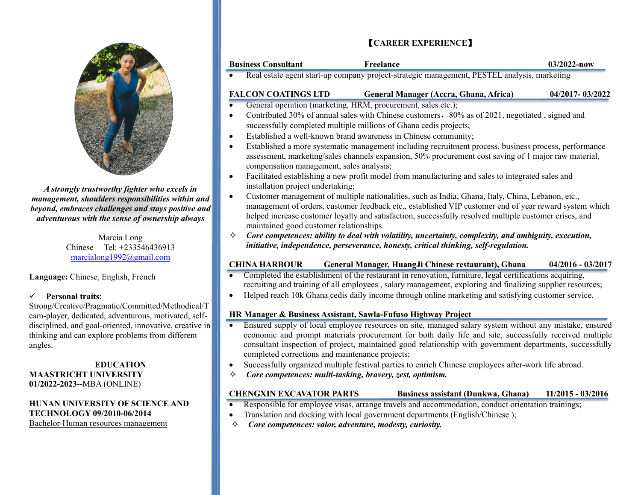

*A strongly trustworthy fighter who excels in management, shoulders responsibilities within and beyond, embraces challenges and stays positive and adventurous with the sense of ownership always*

> Marcia Long Chinese Tel: +233546436913 [marcialong1992@gmail.com](mailto:marcialong1992@gmail.com)

**Language:** Chinese, English, French

#### ✓ **Personal traits**:

Strong/Creative/Pragmatic/Committed/Methodical/T eam-player, dedicated, adventurous, motivated, selfdisciplined, and goal-oriented, innovative, creative in thinking and can explore problems from different angles.

#### **EDUCATION MAASTRICHT UNIVERSITY 01/2022-2023--**MBA (ONLINE)

## **HUNAN UNIVERSITY OF SCIENCE AND TECHNOLOGY 09/2010-06/2014**

Bachelor-Human resources management

## 【**CAREER EXPERIENCE**】

| <b>Business Consultant</b>                                                                     | Freelance                                                         | $03/2022 - now$ |  |
|------------------------------------------------------------------------------------------------|-------------------------------------------------------------------|-----------------|--|
| Real estate agent start-up company project-strategic management, PESTEL analysis, marketing    |                                                                   |                 |  |
| <b>FALCON COATINGS LTD</b>                                                                     | General Manager (Accra, Ghana, Africa)                            | 04/2017-03/2022 |  |
| General operation (marketing, HRM, procurement, sales etc.);                                   |                                                                   |                 |  |
| Contributed 30% of annual sales with Chinese customers, 80% as of 2021, negotiated, signed and |                                                                   |                 |  |
|                                                                                                | successfully completed multiple millions of Ghana cedis projects; |                 |  |

- Established a well-known brand awareness in Chinese community;
- Established a more systematic management including recruitment process, business process, performance assessment, marketing/sales channels expansion, 50% procurement cost saving of 1 major raw material, compensation management, sales analysis;
- Facilitated establishing a new profit model from manufacturing and sales to integrated sales and installation project undertaking;
- Customer management of multiple nationalities, such as India, Ghana, Italy, China, Lebanon, etc., management of orders, customer feedback etc., established VIP customer end of year reward system which helped increase customer loyalty and satisfaction, successfully resolved multiple customer crises, and maintained good customer relationships.
- $\Diamond$  Core competences: ability to deal with volatility, uncertainty, complexity, and ambiguity, execution, *initiative, independence, perseverance, honesty, critical thinking, self-regulation.*

#### **CHINA HARBOUR General Manager, HuangJi Chinese restaurant), Ghana 04/2016 - 03/2017**

- Completed the establishment of the restaurant in renovation, furniture, legal certifications acquiring, recruiting and training of all employees , salary management, exploring and finalizing supplier resources;
- Helped reach 10k Ghana cedis daily income through online marketing and satisfying customer service.

#### **HR Manager & Business Assistant, Sawla-Fufuso Highway Project**

- Ensured supply of local employee resources on site, managed salary system without any mistake, ensured economic and prompt materials procurement for both daily life and site, successfully received multiple consultant inspection of project, maintained good relationship with government departments, successfully completed corrections and maintenance projects;
- Successfully organized multiple festival parties to enrich Chinese employees after-work life abroad.
- *Core competences: multi-tasking, bravery, zest, optimism.*

#### **CHENGXIN EXCAVATOR PARTS Business assistant (Dunkwa, Ghana) 11/2015 - 03/2016**

- Responsible for employee visas, arrange travels and accommodation, conduct orientation trainings;
- Translation and docking with local government departments (English/Chinese );
- *Core competences: valor, adventure, modesty, curiosity.*